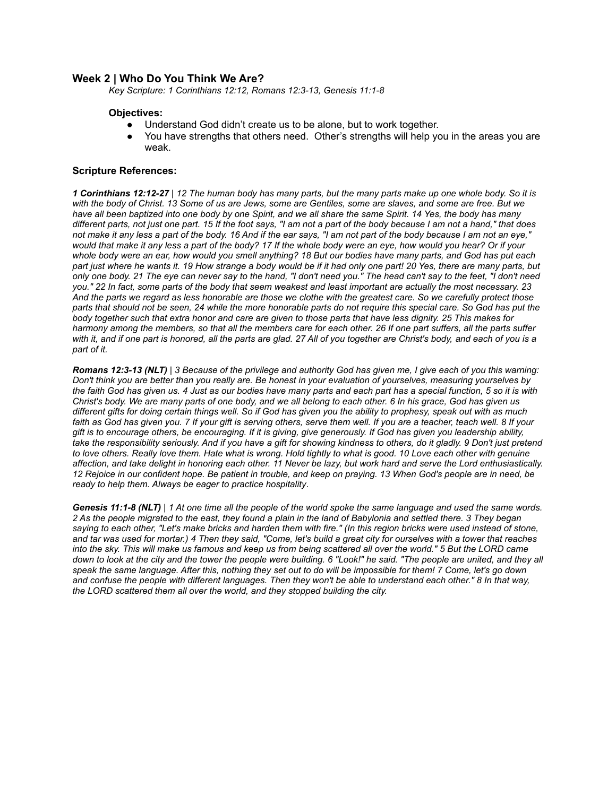# **Week 2 | Who Do You Think We Are?**

*Key Scripture: 1 Corinthians 12:12, Romans 12:3-13, Genesis 11:1-8*

## **Objectives:**

- Understand God didn't create us to be alone, but to work together.
- You have strengths that others need. Other's strengths will help you in the areas you are weak.

## **Scripture References:**

*1 Corinthians 12:12-27 | 12 The human body has many parts, but the many parts make up one whole body. So it is with the body of Christ. 13 Some of us are Jews, some are Gentiles, some are slaves, and some are free. But we have all been baptized into one body by one Spirit, and we all share the same Spirit. 14 Yes, the body has many different parts, not just one part. 15 If the foot says, "I am not a part of the body because I am not a hand," that does not make it any less a part of the body. 16 And if the ear says, "I am not part of the body because I am not an eye," would that make it any less a part of the body? 17 If the whole body were an eye, how would you hear? Or if your whole body were an ear, how would you smell anything? 18 But our bodies have many parts, and God has put each part just where he wants it. 19 How strange a body would be if it had only one part! 20 Yes, there are many parts, but only one body. 21 The eye can never say to the hand, "I don't need you." The head can't say to the feet, "I don't need you." 22 In fact, some parts of the body that seem weakest and least important are actually the most necessary. 23 And the parts we regard as less honorable are those we clothe with the greatest care. So we carefully protect those parts that should not be seen, 24 while the more honorable parts do not require this special care. So God has put the body together such that extra honor and care are given to those parts that have less dignity. 25 This makes for harmony among the members, so that all the members care for each other. 26 If one part suffers, all the parts suffer with it, and if one part is honored, all the parts are glad. 27 All of you together are Christ's body, and each of you is a part of it.*

*Romans 12:3-13 (NLT) | 3 Because of the privilege and authority God has given me, I give each of you this warning: Don't think you are better than you really are. Be honest in your evaluation of yourselves, measuring yourselves by the faith God has given us. 4 Just as our bodies have many parts and each part has a special function, 5 so it is with Christ's body. We are many parts of one body, and we all belong to each other. 6 In his grace, God has given us different gifts for doing certain things well. So if God has given you the ability to prophesy, speak out with as much faith as God has given you. 7 If your gift is serving others, serve them well. If you are a teacher, teach well. 8 If your gift is to encourage others, be encouraging. If it is giving, give generously. If God has given you leadership ability, take the responsibility seriously. And if you have a gift for showing kindness to others, do it gladly. 9 Don't just pretend to love others. Really love them. Hate what is wrong. Hold tightly to what is good. 10 Love each other with genuine affection, and take delight in honoring each other. 11 Never be lazy, but work hard and serve the Lord enthusiastically. 12 Rejoice in our confident hope. Be patient in trouble, and keep on praying. 13 When God's people are in need, be ready to help them. Always be eager to practice hospitality*.

*Genesis 11:1-8 (NLT) | 1 At one time all the people of the world spoke the same language and used the same words. 2 As the people migrated to the east, they found a plain in the land of Babylonia and settled there. 3 They began saying to each other, "Let's make bricks and harden them with fire." (In this region bricks were used instead of stone, and tar was used for mortar.) 4 Then they said, "Come, let's build a great city for ourselves with a tower that reaches into the sky. This will make us famous and keep us from being scattered all over the world." 5 But the LORD came down to look at the city and the tower the people were building. 6 "Look!" he said. "The people are united, and they all speak the same language. After this, nothing they set out to do will be impossible for them! 7 Come, let's go down and confuse the people with different languages. Then they won't be able to understand each other." 8 In that way, the LORD scattered them all over the world, and they stopped building the city.*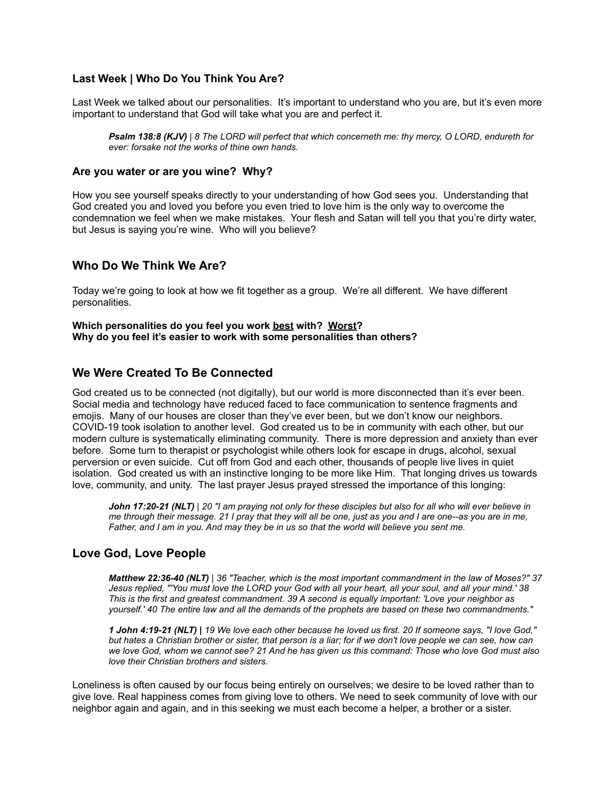# **Last Week | Who Do You Think You Are?**

Last Week we talked about our personalities. It's important to understand who you are, but it's even more important to understand that God will take what you are and perfect it.

*Psalm 138:8 (KJV) | 8 The LORD will perfect that which concerneth me: thy mercy, O LORD, endureth for ever: forsake not the works of thine own hands.*

# **Are you water or are you wine? Why?**

How you see yourself speaks directly to your understanding of how God sees you. Understanding that God created you and loved you before you even tried to love him is the only way to overcome the condemnation we feel when we make mistakes. Your flesh and Satan will tell you that you're dirty water, but Jesus is saying you're wine. Who will you believe?

# **Who Do We Think We Are?**

Today we're going to look at how we fit together as a group. We're all different. We have different personalities.

**Which personalities do you feel you work best with? Worst? Why do you feel it's easier to work with some personalities than others?**

# **We Were Created To Be Connected**

God created us to be connected (not digitally), but our world is more disconnected than it's ever been. Social media and technology have reduced faced to face communication to sentence fragments and emojis. Many of our houses are closer than they've ever been, but we don't know our neighbors. COVID-19 took isolation to another level. God created us to be in community with each other, but our modern culture is systematically eliminating community. There is more depression and anxiety than ever before. Some turn to therapist or psychologist while others look for escape in drugs, alcohol, sexual perversion or even suicide. Cut off from God and each other, thousands of people live lives in quiet isolation. God created us with an instinctive longing to be more like Him. That longing drives us towards love, community, and unity. The last prayer Jesus prayed stressed the importance of this longing:

*John 17:20-21 (NLT)* | *20 "I am praying not only for these disciples but also for all who will ever believe in me through their message. 21 I pray that they will all be one, just as you and I are one--as you are in me, Father, and I am in you. And may they be in us so that the world will believe you sent me.*

# **Love God, Love People**

*Matthew 22:36-40 (NLT) | 36 "Teacher, which is the most important commandment in the law of Moses?" 37 Jesus replied, "'You must love the LORD your God with all your heart, all your soul, and all your mind.' 38 This is the first and greatest commandment. 39 A second is equally important: 'Love your neighbor as yourself.' 40 The entire law and all the demands of the prophets are based on these two commandments."*

*1 John 4:19-21 (NLT) | 19 We love each other because he loved us first. 20 If someone says, "I love God," but hates a Christian brother or sister, that person is a liar; for if we don't love people we can see, how can we love God, whom we cannot see? 21 And he has given us this command: Those who love God must also love their Christian brothers and sisters.*

Loneliness is often caused by our focus being entirely on ourselves; we desire to be loved rather than to give love. Real happiness comes from giving love to others. We need to seek community of love with our neighbor again and again, and in this seeking we must each become a helper, a brother or a sister.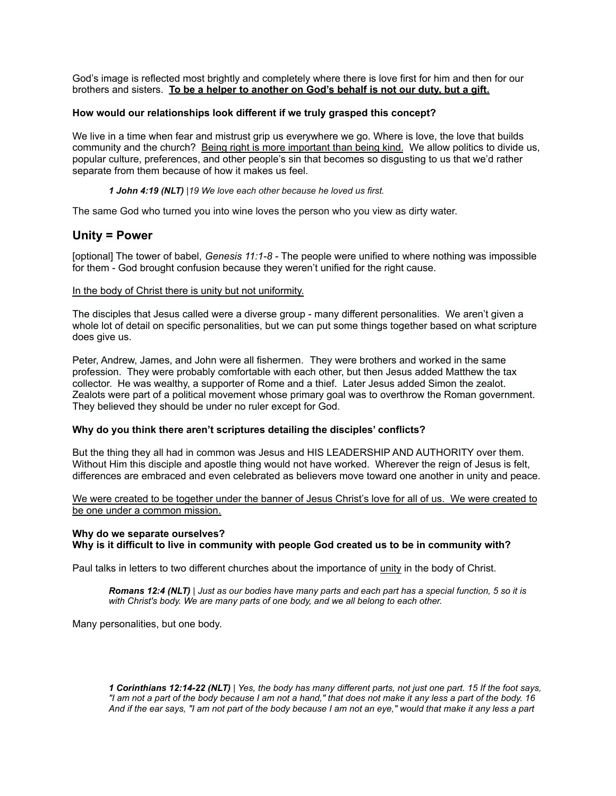God's image is reflected most brightly and completely where there is love first for him and then for our brothers and sisters. **To be a helper to another on God's behalf is not our duty, but a gift.**

## **How would our relationships look different if we truly grasped this concept?**

We live in a time when fear and mistrust grip us everywhere we go. Where is love, the love that builds community and the church? Being right is more important than being kind. We allow politics to divide us, popular culture, preferences, and other people's sin that becomes so disgusting to us that we'd rather separate from them because of how it makes us feel.

*1 John 4:19 (NLT) |19 We love each other because he loved us first.*

The same God who turned you into wine loves the person who you view as dirty water.

# **Unity = Power**

[optional] The tower of babel, *Genesis 11:1-8* - The people were unified to where nothing was impossible for them - God brought confusion because they weren't unified for the right cause.

#### In the body of Christ there is unity but not uniformity.

The disciples that Jesus called were a diverse group - many different personalities. We aren't given a whole lot of detail on specific personalities, but we can put some things together based on what scripture does give us.

Peter, Andrew, James, and John were all fishermen. They were brothers and worked in the same profession. They were probably comfortable with each other, but then Jesus added Matthew the tax collector. He was wealthy, a supporter of Rome and a thief. Later Jesus added Simon the zealot. Zealots were part of a political movement whose primary goal was to overthrow the Roman government. They believed they should be under no ruler except for God.

#### **Why do you think there aren't scriptures detailing the disciples' conflicts?**

But the thing they all had in common was Jesus and HIS LEADERSHIP AND AUTHORITY over them. Without Him this disciple and apostle thing would not have worked. Wherever the reign of Jesus is felt, differences are embraced and even celebrated as believers move toward one another in unity and peace.

We were created to be together under the banner of Jesus Christ's love for all of us. We were created to be one under a common mission.

## **Why do we separate ourselves? Why is it difficult to live in community with people God created us to be in community with?**

Paul talks in letters to two different churches about the importance of unity in the body of Christ.

*Romans 12:4 (NLT) | Just as our bodies have many parts and each part has a special function, 5 so it is with Christ's body. We are many parts of one body, and we all belong to each other.*

Many personalities, but one body.

*1 Corinthians 12:14-22 (NLT) | Yes, the body has many different parts, not just one part. 15 If the foot says, "I am not a part of the body because I am not a hand," that does not make it any less a part of the body. 16 And if the ear says, "I am not part of the body because I am not an eye," would that make it any less a part*